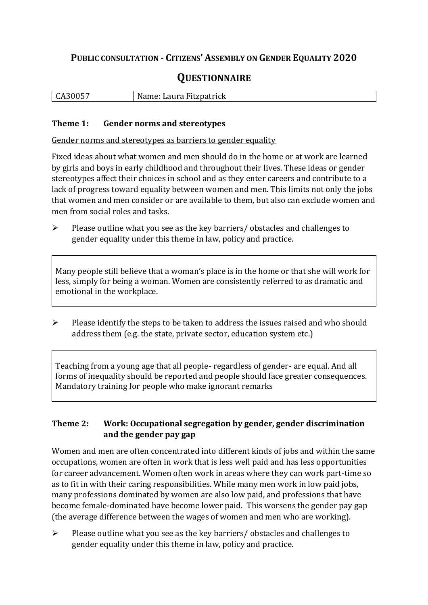## **PUBLIC CONSULTATION - CITIZENS' ASSEMBLY ON GENDER EQUALITY 2020**

# **QUESTIONNAIRE**

|  | $\mathbf{r}$<br>しA3UUS | Name: Laura Fitzpatrick |
|--|------------------------|-------------------------|
|--|------------------------|-------------------------|

#### **Theme 1: Gender norms and stereotypes**

Gender norms and stereotypes as barriers to gender equality

Fixed ideas about what women and men should do in the home or at work are learned by girls and boys in early childhood and throughout their lives. These ideas or gender stereotypes affect their choices in school and as they enter careers and contribute to a lack of progress toward equality between women and men. This limits not only the jobs that women and men consider or are available to them, but also can exclude women and men from social roles and tasks.

➢ Please outline what you see as the key barriers/ obstacles and challenges to gender equality under this theme in law, policy and practice.

Many people still believe that a woman's place is in the home or that she will work for less, simply for being a woman. Women are consistently referred to as dramatic and emotional in the workplace.

➢ Please identify the steps to be taken to address the issues raised and who should address them (e.g. the state, private sector, education system etc.)

Teaching from a young age that all people- regardless of gender- are equal. And all forms of inequality should be reported and people should face greater consequences. Mandatory training for people who make ignorant remarks

#### **Theme 2: Work: Occupational segregation by gender, gender discrimination and the gender pay gap**

Women and men are often concentrated into different kinds of jobs and within the same occupations, women are often in work that is less well paid and has less opportunities for career advancement. Women often work in areas where they can work part-time so as to fit in with their caring responsibilities. While many men work in low paid jobs, many professions dominated by women are also low paid, and professions that have become female-dominated have become lower paid. This worsens the gender pay gap (the average difference between the wages of women and men who are working).

➢ Please outline what you see as the key barriers/ obstacles and challenges to gender equality under this theme in law, policy and practice.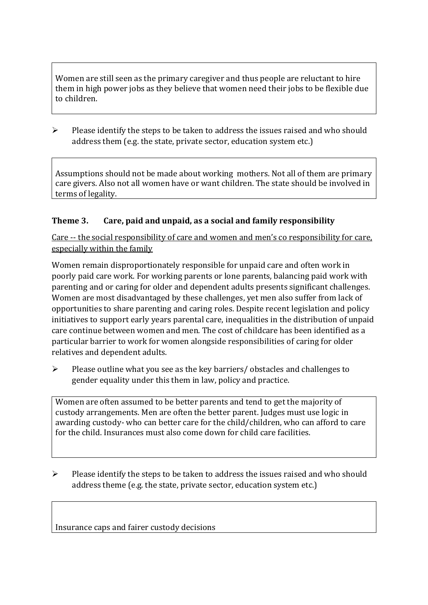Women are still seen as the primary caregiver and thus people are reluctant to hire them in high power jobs as they believe that women need their jobs to be flexible due to children.

➢ Please identify the steps to be taken to address the issues raised and who should address them (e.g. the state, private sector, education system etc.)

Assumptions should not be made about working mothers. Not all of them are primary care givers. Also not all women have or want children. The state should be involved in terms of legality.

## **Theme 3. Care, paid and unpaid, as a social and family responsibility**

Care -- the social responsibility of care and women and men's co responsibility for care, especially within the family

Women remain disproportionately responsible for unpaid care and often work in poorly paid care work. For working parents or [lone parents,](https://aran.library.nuigalway.ie/bitstream/handle/10379/6044/Millar_and_Crosse_Activation_Report.pdf?sequence=1&isAllowed=y) balancing paid work with parenting and or caring for older and dependent adults presents significant challenges. Women are [most disadvantaged by these challenges,](https://eige.europa.eu/gender-equality-index/game/IE/W) yet men also suffer from lack of opportunities to share parenting and caring roles. Despite recent legislation and policy initiatives to support early years parental care, [inequalities in the distribution of unpaid](https://www.ihrec.ie/app/uploads/2019/07/Caring-and-Unpaid-Work-in-Ireland_Final.pdf)  [care](https://www.ihrec.ie/app/uploads/2019/07/Caring-and-Unpaid-Work-in-Ireland_Final.pdf) continue between women and men. The cost of childcare has been identified as a particular barrier to work for women alongside responsibilities of caring for older relatives and dependent adults.

➢ Please outline what you see as the key barriers/ obstacles and challenges to gender equality under this them in law, policy and practice.

Women are often assumed to be better parents and tend to get the majority of custody arrangements. Men are often the better parent. Judges must use logic in awarding custody- who can better care for the child/children, who can afford to care for the child. Insurances must also come down for child care facilities.

➢ Please identify the steps to be taken to address the issues raised and who should address theme (e.g. the state, private sector, education system etc.)

Insurance caps and fairer custody decisions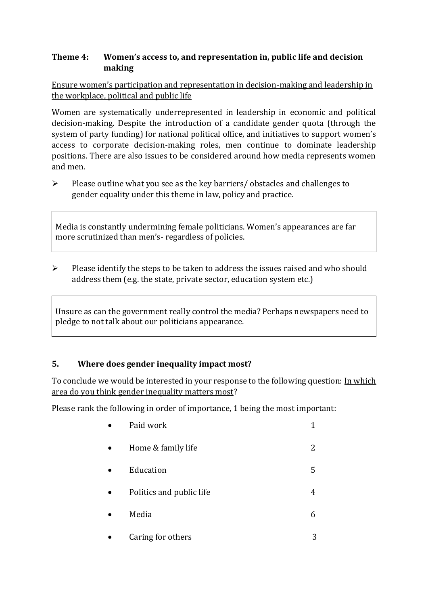### **Theme 4: Women's access to, and representation in, public life and decision making**

Ensure women's participation and representation in decision-making and leadership in the workplace, political and public life

Women are systematically underrepresented in leadership in [economic](https://eige.europa.eu/gender-equality-index/2019/compare-countries/power/2/bar) and [political](https://eige.europa.eu/gender-equality-index/2019/compare-countries/power/1/bar)  [decision-](https://eige.europa.eu/gender-equality-index/2019/compare-countries/power/1/bar)making. Despite the introduction of a candidate gender quota (through the system of party funding) for national political office, and [initiatives](https://betterbalance.ie/) to support women's access to corporate decision-making roles, men continue to dominate leadership positions. There are also issues to be considered around how media represents women and men.

➢ Please outline what you see as the key barriers/ obstacles and challenges to gender equality under this theme in law, policy and practice.

Media is constantly undermining female politicians. Women's appearances are far more scrutinized than men's- regardless of policies.

 $\triangleright$  Please identify the steps to be taken to address the issues raised and who should address them (e.g. the state, private sector, education system etc.)

Unsure as can the government really control the media? Perhaps newspapers need to pledge to not talk about our politicians appearance.

## **5. Where does gender inequality impact most?**

To conclude we would be interested in your response to the following question: In which area do you think gender inequality matters most?

Please rank the following in order of importance, 1 being the most important:

| Paid work                |   |
|--------------------------|---|
| Home & family life       | 2 |
| Education                | 5 |
| Politics and public life | 4 |
| Media                    | 6 |
| Coning for othono        | っ |

example of Caring for others 3